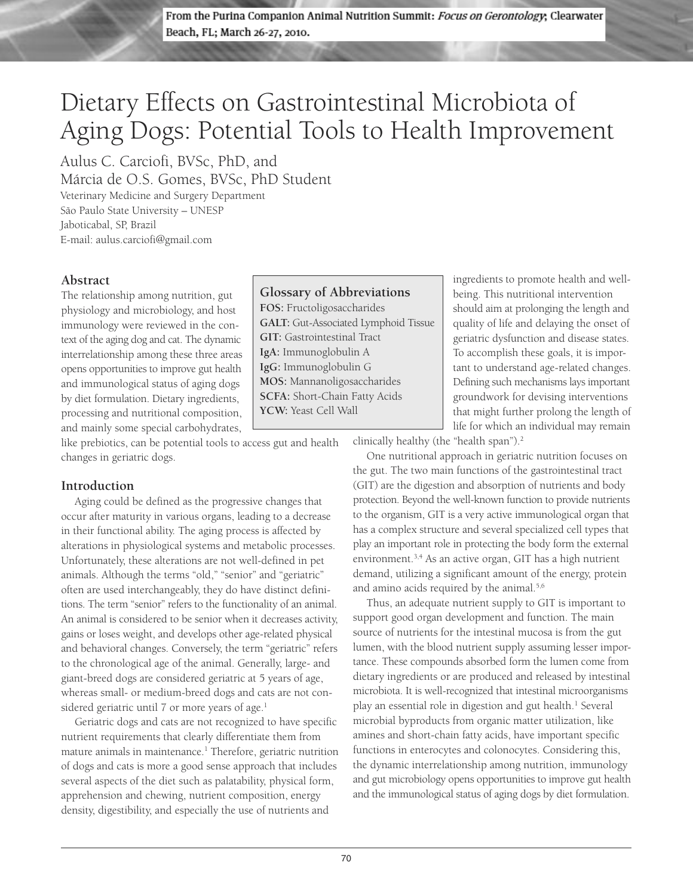From the Purina Companion Animal Nutrition Summit: Focus on Gerontology, Clearwater Beach, FL; March 26-27, 2010.

## Dietary Effects on Gastrointestinal Microbiota of Aging Dogs: Potential Tools to Health Improvement

Aulus C. Carciofi, BVSc, PhD, and Márcia de O.S. Gomes, BVSc, PhD Student Veterinary Medicine and Surgery Department São Paulo State University – UNESP

Jaboticabal, SP, Brazil E-mail: aulus.carciofi@gmail.com

#### **Abstract**

The relationship among nutrition, gut physiology and microbiology, and host immunology were reviewed in the context of the aging dog and cat. The dynamic interrelationship among these three areas opens opportunities to improve gut health and immunological status of aging dogs by diet formulation. Dietary ingredients, processing and nutritional composition, and mainly some special carbohydrates,

like prebiotics, can be potential tools to access gut and health changes in geriatric dogs.

## **Introduction**

Aging could be defined as the progressive changes that occur after maturity in various organs, leading to a decrease in their functional ability. The aging process is affected by alterations in physiological systems and metabolic processes. Unfortunately, these alterations are not well-defined in pet animals. Although the terms "old," "senior" and "geriatric" often are used interchangeably, they do have distinct definitions. The term "senior" refers to the functionality of an animal. An animal is considered to be senior when it decreases activity, gains or loses weight, and develops other age-related physical and behavioral changes. Conversely, the term "geriatric" refers to the chronological age of the animal. Generally, large- and giant-breed dogs are considered geriatric at 5 years of age, whereas small- or medium-breed dogs and cats are not considered geriatric until 7 or more years of age.<sup>1</sup>

Geriatric dogs and cats are not recognized to have specific nutrient requirements that clearly differentiate them from mature animals in maintenance.<sup>1</sup> Therefore, geriatric nutrition of dogs and cats is more a good sense approach that includes several aspects of the diet such as palatability, physical form, apprehension and chewing, nutrient composition, energy density, digestibility, and especially the use of nutrients and

**Glossary of Abbreviations FOS:** Fructoligosaccharides **GALT:** Gut-Associated Lymphoid Tissue **GIT:** Gastrointestinal Tract **IgA:** Immunoglobulin A **IgG:** Immunoglobulin G **MOS:** Mannanoligosaccharides **SCFA:** Short-Chain Fatty Acids **YCW:** Yeast Cell Wall

ingredients to promote health and wellbeing. This nutritional intervention should aim at prolonging the length and quality of life and delaying the onset of geriatric dysfunction and disease states. To accomplish these goals, it is important to understand age-related changes. Defining such mechanisms lays important groundwork for devising interventions that might further prolong the length of life for which an individual may remain

clinically healthy (the "health span").<sup>2</sup>

One nutritional approach in geriatric nutrition focuses on the gut. The two main functions of the gastrointestinal tract (GIT) are the digestion and absorption of nutrients and body protection. Beyond the well-known function to provide nutrients to the organism, GIT is a very active immunological organ that has a complex structure and several specialized cell types that play an important role in protecting the body form the external environment.<sup>3,4</sup> As an active organ, GIT has a high nutrient demand, utilizing a significant amount of the energy, protein and amino acids required by the animal.<sup>5,6</sup>

Thus, an adequate nutrient supply to GIT is important to support good organ development and function. The main source of nutrients for the intestinal mucosa is from the gut lumen, with the blood nutrient supply assuming lesser importance. These compounds absorbed form the lumen come from dietary ingredients or are produced and released by intestinal microbiota. It is well-recognized that intestinal microorganisms play an essential role in digestion and gut health.<sup>1</sup> Several microbial byproducts from organic matter utilization, like amines and short-chain fatty acids, have important specific functions in enterocytes and colonocytes. Considering this, the dynamic interrelationship among nutrition, immunology and gut microbiology opens opportunities to improve gut health and the immunological status of aging dogs by diet formulation.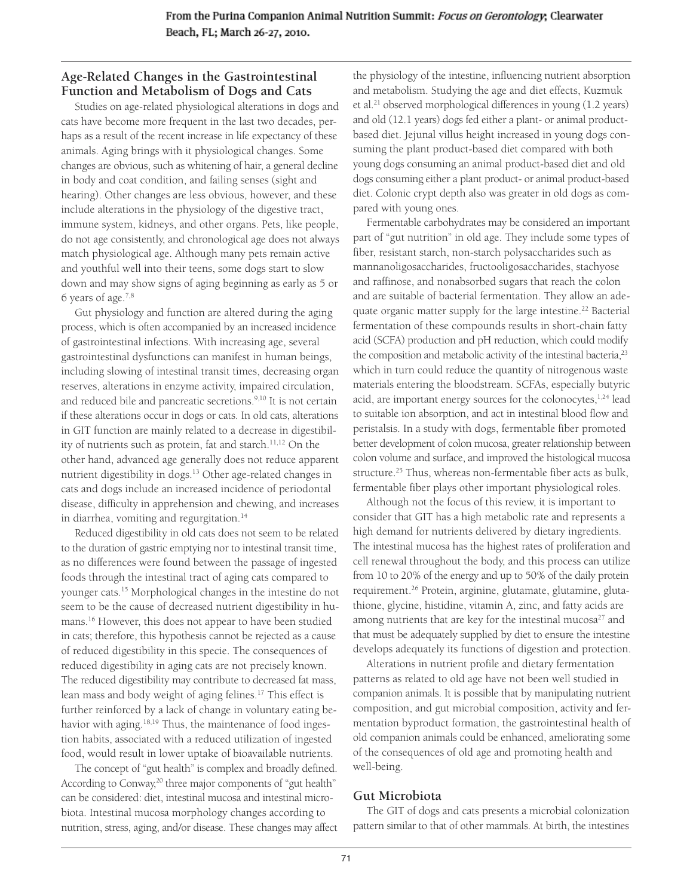## **Age-Related Changes in the Gastrointestinal Function and Metabolism of Dogs and Cats**

Studies on age-related physiological alterations in dogs and cats have become more frequent in the last two decades, perhaps as a result of the recent increase in life expectancy of these animals. Aging brings with it physiological changes. Some changes are obvious, such as whitening of hair, a general decline in body and coat condition, and failing senses (sight and hearing). Other changes are less obvious, however, and these include alterations in the physiology of the digestive tract, immune system, kidneys, and other organs. Pets, like people, do not age consistently, and chronological age does not always match physiological age. Although many pets remain active and youthful well into their teens, some dogs start to slow down and may show signs of aging beginning as early as 5 or 6 years of age.7,8

Gut physiology and function are altered during the aging process, which is often accompanied by an increased incidence of gastrointestinal infections. With increasing age, several gastrointestinal dysfunctions can manifest in human beings, including slowing of intestinal transit times, decreasing organ reserves, alterations in enzyme activity, impaired circulation, and reduced bile and pancreatic secretions.<sup>9,10</sup> It is not certain if these alterations occur in dogs or cats. In old cats, alterations in GIT function are mainly related to a decrease in digestibility of nutrients such as protein, fat and starch.<sup>11,12</sup> On the other hand, advanced age generally does not reduce apparent nutrient digestibility in dogs.13 Other age-related changes in cats and dogs include an increased incidence of periodontal disease, difficulty in apprehension and chewing, and increases in diarrhea, vomiting and regurgitation.<sup>14</sup>

Reduced digestibility in old cats does not seem to be related to the duration of gastric emptying nor to intestinal transit time, as no differences were found between the passage of ingested foods through the intestinal tract of aging cats compared to younger cats.15 Morphological changes in the intestine do not seem to be the cause of decreased nutrient digestibility in humans.16 However, this does not appear to have been studied in cats; therefore, this hypothesis cannot be rejected as a cause of reduced digestibility in this specie. The consequences of reduced digestibility in aging cats are not precisely known. The reduced digestibility may contribute to decreased fat mass, lean mass and body weight of aging felines.17 This effect is further reinforced by a lack of change in voluntary eating behavior with aging.<sup>18,19</sup> Thus, the maintenance of food ingestion habits, associated with a reduced utilization of ingested food, would result in lower uptake of bioavailable nutrients.

The concept of "gut health" is complex and broadly defined. According to Conway,<sup>20</sup> three major components of "gut health" can be considered: diet, intestinal mucosa and intestinal microbiota. Intestinal mucosa morphology changes according to nutrition, stress, aging, and/or disease. These changes may affect the physiology of the intestine, influencing nutrient absorption and metabolism. Studying the age and diet effects, Kuzmuk et al.21 observed morphological differences in young (1.2 years) and old (12.1 years) dogs fed either a plant- or animal productbased diet. Jejunal villus height increased in young dogs consuming the plant product-based diet compared with both young dogs consuming an animal product-based diet and old dogs consuming either a plant product- or animal product-based diet. Colonic crypt depth also was greater in old dogs as compared with young ones.

Fermentable carbohydrates may be considered an important part of "gut nutrition" in old age. They include some types of fiber, resistant starch, non-starch polysaccharides such as mannanoligosaccharides, fructooligosaccharides, stachyose and raffinose, and nonabsorbed sugars that reach the colon and are suitable of bacterial fermentation. They allow an adequate organic matter supply for the large intestine.<sup>22</sup> Bacterial fermentation of these compounds results in short-chain fatty acid (SCFA) production and pH reduction, which could modify the composition and metabolic activity of the intestinal bacteria,<sup>23</sup> which in turn could reduce the quantity of nitrogenous waste materials entering the bloodstream. SCFAs, especially butyric acid, are important energy sources for the colonocytes, $1,24$  lead to suitable ion absorption, and act in intestinal blood flow and peristalsis. In a study with dogs, fermentable fiber promoted better development of colon mucosa, greater relationship between colon volume and surface, and improved the histological mucosa structure.<sup>25</sup> Thus, whereas non-fermentable fiber acts as bulk, fermentable fiber plays other important physiological roles.

Although not the focus of this review, it is important to consider that GIT has a high metabolic rate and represents a high demand for nutrients delivered by dietary ingredients. The intestinal mucosa has the highest rates of proliferation and cell renewal throughout the body, and this process can utilize from 10 to 20% of the energy and up to 50% of the daily protein requirement.<sup>26</sup> Protein, arginine, glutamate, glutamine, glutathione, glycine, histidine, vitamin A, zinc, and fatty acids are among nutrients that are key for the intestinal mucosa<sup>27</sup> and that must be adequately supplied by diet to ensure the intestine develops adequately its functions of digestion and protection.

Alterations in nutrient profile and dietary fermentation patterns as related to old age have not been well studied in companion animals. It is possible that by manipulating nutrient composition, and gut microbial composition, activity and fermentation byproduct formation, the gastrointestinal health of old companion animals could be enhanced, ameliorating some of the consequences of old age and promoting health and well-being.

## **Gut Microbiota**

The GIT of dogs and cats presents a microbial colonization pattern similar to that of other mammals. At birth, the intestines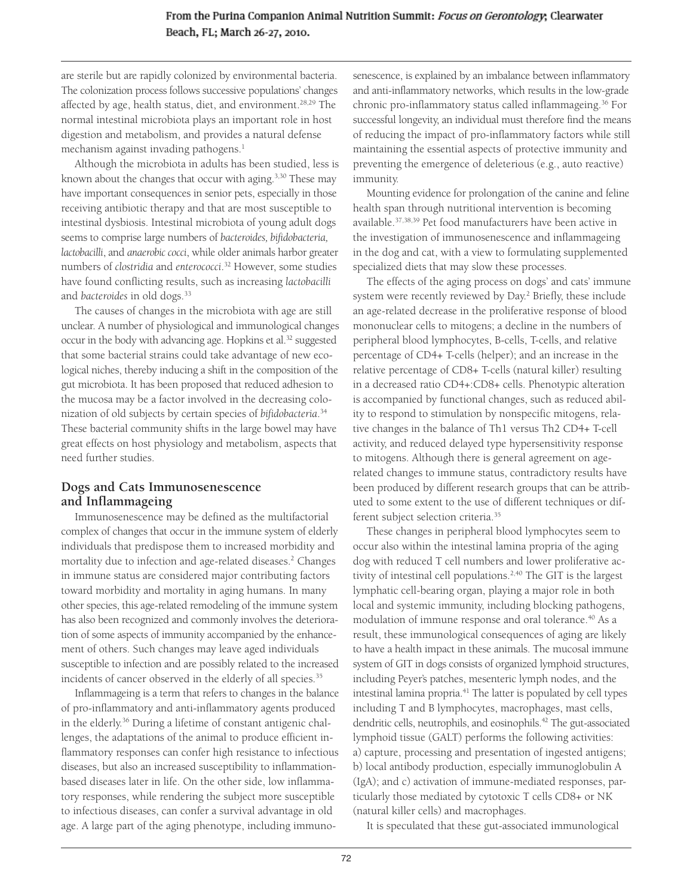#### From the Purina Companion Animal Nutrition Summit: Focus on Gerontology, Clearwater Beach, FL; March 26-27, 2010.

are sterile but are rapidly colonized by environmental bacteria. The colonization process follows successive populations' changes affected by age, health status, diet, and environment.<sup>28,29</sup> The normal intestinal microbiota plays an important role in host digestion and metabolism, and provides a natural defense mechanism against invading pathogens.<sup>1</sup>

Although the microbiota in adults has been studied, less is known about the changes that occur with aging.<sup>3,30</sup> These may have important consequences in senior pets, especially in those receiving antibiotic therapy and that are most susceptible to intestinal dysbiosis. Intestinal microbiota of young adult dogs seems to comprise large numbers of *bacteroides, bifidobacteria, lactobacilli*, and *anaerobic cocci*, while older animals harbor greater numbers of *clostridia* and *enterococci*. <sup>32</sup> However, some studies have found conflicting results, such as increasing *lactobacilli* and *bacteroides* in old dogs.33

The causes of changes in the microbiota with age are still unclear. A number of physiological and immunological changes occur in the body with advancing age. Hopkins et al.<sup>32</sup> suggested that some bacterial strains could take advantage of new ecological niches, thereby inducing a shift in the composition of the gut microbiota. It has been proposed that reduced adhesion to the mucosa may be a factor involved in the decreasing colonization of old subjects by certain species of *bifidobacteria*. 34 These bacterial community shifts in the large bowel may have great effects on host physiology and metabolism, aspects that need further studies.

#### **Dogs and Cats Immunosenescence and Inflammageing**

Immunosenescence may be defined as the multifactorial complex of changes that occur in the immune system of elderly individuals that predispose them to increased morbidity and mortality due to infection and age-related diseases.<sup>2</sup> Changes in immune status are considered major contributing factors toward morbidity and mortality in aging humans. In many other species, this age-related remodeling of the immune system has also been recognized and commonly involves the deterioration of some aspects of immunity accompanied by the enhancement of others. Such changes may leave aged individuals susceptible to infection and are possibly related to the increased incidents of cancer observed in the elderly of all species.<sup>35</sup>

Inflammageing is a term that refers to changes in the balance of pro-inflammatory and anti-inflammatory agents produced in the elderly.36 During a lifetime of constant antigenic challenges, the adaptations of the animal to produce efficient inflammatory responses can confer high resistance to infectious diseases, but also an increased susceptibility to inflammationbased diseases later in life. On the other side, low inflammatory responses, while rendering the subject more susceptible to infectious diseases, can confer a survival advantage in old age. A large part of the aging phenotype, including immuno-

senescence, is explained by an imbalance between inflammatory and anti-inflammatory networks, which results in the low-grade chronic pro-inflammatory status called inflammageing.<sup>36</sup> For successful longevity, an individual must therefore find the means of reducing the impact of pro-inflammatory factors while still maintaining the essential aspects of protective immunity and preventing the emergence of deleterious (e.g., auto reactive) immunity.

Mounting evidence for prolongation of the canine and feline health span through nutritional intervention is becoming available.37,38,39 Pet food manufacturers have been active in the investigation of immunosenescence and inflammageing in the dog and cat, with a view to formulating supplemented specialized diets that may slow these processes.

The effects of the aging process on dogs' and cats' immune system were recently reviewed by Day.<sup>2</sup> Briefly, these include an age-related decrease in the proliferative response of blood mononuclear cells to mitogens; a decline in the numbers of peripheral blood lymphocytes, B-cells, T-cells, and relative percentage of CD4+ T-cells (helper); and an increase in the relative percentage of CD8+ T-cells (natural killer) resulting in a decreased ratio CD4+:CD8+ cells. Phenotypic alteration is accompanied by functional changes, such as reduced ability to respond to stimulation by nonspecific mitogens, relative changes in the balance of Th1 versus Th2 CD4+ T-cell activity, and reduced delayed type hypersensitivity response to mitogens. Although there is general agreement on agerelated changes to immune status, contradictory results have been produced by different research groups that can be attributed to some extent to the use of different techniques or different subject selection criteria.35

These changes in peripheral blood lymphocytes seem to occur also within the intestinal lamina propria of the aging dog with reduced T cell numbers and lower proliferative activity of intestinal cell populations.<sup>2,40</sup> The GIT is the largest lymphatic cell-bearing organ, playing a major role in both local and systemic immunity, including blocking pathogens, modulation of immune response and oral tolerance.<sup>40</sup> As a result, these immunological consequences of aging are likely to have a health impact in these animals. The mucosal immune system of GIT in dogs consists of organized lymphoid structures, including Peyer's patches, mesenteric lymph nodes, and the intestinal lamina propria.<sup>41</sup> The latter is populated by cell types including T and B lymphocytes, macrophages, mast cells, dendritic cells, neutrophils, and eosinophils.<sup>42</sup> The gut-associated lymphoid tissue (GALT) performs the following activities: a) capture, processing and presentation of ingested antigens; b) local antibody production, especially immunoglobulin A (IgA); and c) activation of immune-mediated responses, particularly those mediated by cytotoxic T cells CD8+ or NK (natural killer cells) and macrophages.

It is speculated that these gut-associated immunological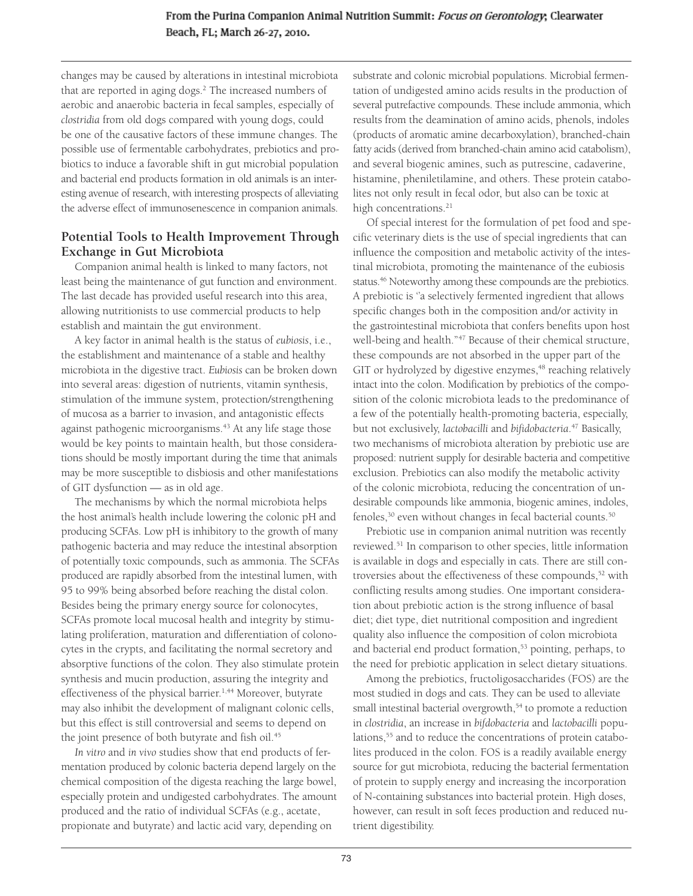changes may be caused by alterations in intestinal microbiota that are reported in aging dogs.<sup>2</sup> The increased numbers of aerobic and anaerobic bacteria in fecal samples, especially of *clostridia* from old dogs compared with young dogs, could be one of the causative factors of these immune changes. The possible use of fermentable carbohydrates, prebiotics and probiotics to induce a favorable shift in gut microbial population and bacterial end products formation in old animals is an interesting avenue of research, with interesting prospects of alleviating the adverse effect of immunosenescence in companion animals.

#### **Potential Tools to Health Improvement Through Exchange in Gut Microbiota**

Companion animal health is linked to many factors, not least being the maintenance of gut function and environment. The last decade has provided useful research into this area, allowing nutritionists to use commercial products to help establish and maintain the gut environment.

A key factor in animal health is the status of *eubiosis*, i.e., the establishment and maintenance of a stable and healthy microbiota in the digestive tract. *Eubiosis* can be broken down into several areas: digestion of nutrients, vitamin synthesis, stimulation of the immune system, protection/strengthening of mucosa as a barrier to invasion, and antagonistic effects against pathogenic microorganisms.<sup>43</sup> At any life stage those would be key points to maintain health, but those considerations should be mostly important during the time that animals may be more susceptible to disbiosis and other manifestations of GIT dysfunction — as in old age.

The mechanisms by which the normal microbiota helps the host animal's health include lowering the colonic pH and producing SCFAs. Low pH is inhibitory to the growth of many pathogenic bacteria and may reduce the intestinal absorption of potentially toxic compounds, such as ammonia. The SCFAs produced are rapidly absorbed from the intestinal lumen, with 95 to 99% being absorbed before reaching the distal colon. Besides being the primary energy source for colonocytes, SCFAs promote local mucosal health and integrity by stimulating proliferation, maturation and differentiation of colonocytes in the crypts, and facilitating the normal secretory and absorptive functions of the colon. They also stimulate protein synthesis and mucin production, assuring the integrity and effectiveness of the physical barrier.<sup>1,44</sup> Moreover, butyrate may also inhibit the development of malignant colonic cells, but this effect is still controversial and seems to depend on the joint presence of both butyrate and fish oil.<sup>45</sup>

*In vitro* and *in vivo* studies show that end products of fermentation produced by colonic bacteria depend largely on the chemical composition of the digesta reaching the large bowel, especially protein and undigested carbohydrates. The amount produced and the ratio of individual SCFAs (e.g., acetate, propionate and butyrate) and lactic acid vary, depending on

substrate and colonic microbial populations. Microbial fermentation of undigested amino acids results in the production of several putrefactive compounds. These include ammonia, which results from the deamination of amino acids, phenols, indoles (products of aromatic amine decarboxylation), branched-chain fatty acids (derived from branched-chain amino acid catabolism), and several biogenic amines, such as putrescine, cadaverine, histamine, pheniletilamine, and others. These protein catabolites not only result in fecal odor, but also can be toxic at high concentrations.<sup>21</sup>

Of special interest for the formulation of pet food and specific veterinary diets is the use of special ingredients that can influence the composition and metabolic activity of the intestinal microbiota, promoting the maintenance of the eubiosis status.<sup>46</sup> Noteworthy among these compounds are the prebiotics. A prebiotic is "a selectively fermented ingredient that allows specific changes both in the composition and/or activity in the gastrointestinal microbiota that confers benefits upon host well-being and health."<sup>47</sup> Because of their chemical structure, these compounds are not absorbed in the upper part of the GIT or hydrolyzed by digestive enzymes,<sup>48</sup> reaching relatively intact into the colon. Modification by prebiotics of the composition of the colonic microbiota leads to the predominance of a few of the potentially health-promoting bacteria, especially, but not exclusively, *lactobacilli* and *bifidobacteria*. <sup>47</sup> Basically, two mechanisms of microbiota alteration by prebiotic use are proposed: nutrient supply for desirable bacteria and competitive exclusion. Prebiotics can also modify the metabolic activity of the colonic microbiota, reducing the concentration of undesirable compounds like ammonia, biogenic amines, indoles,  $f$ even without changes in fecal bacterial counts.<sup>50</sup>

Prebiotic use in companion animal nutrition was recently reviewed.51 In comparison to other species, little information is available in dogs and especially in cats. There are still controversies about the effectiveness of these compounds,<sup>52</sup> with conflicting results among studies. One important consideration about prebiotic action is the strong influence of basal diet; diet type, diet nutritional composition and ingredient quality also influence the composition of colon microbiota and bacterial end product formation,<sup>53</sup> pointing, perhaps, to the need for prebiotic application in select dietary situations.

Among the prebiotics, fructoligosaccharides (FOS) are the most studied in dogs and cats. They can be used to alleviate small intestinal bacterial overgrowth,<sup>54</sup> to promote a reduction in *clostridia*, an increase in *bifdobacteria* and *lactobacilli* populations,<sup>55</sup> and to reduce the concentrations of protein catabolites produced in the colon. FOS is a readily available energy source for gut microbiota, reducing the bacterial fermentation of protein to supply energy and increasing the incorporation of N-containing substances into bacterial protein. High doses, however, can result in soft feces production and reduced nutrient digestibility.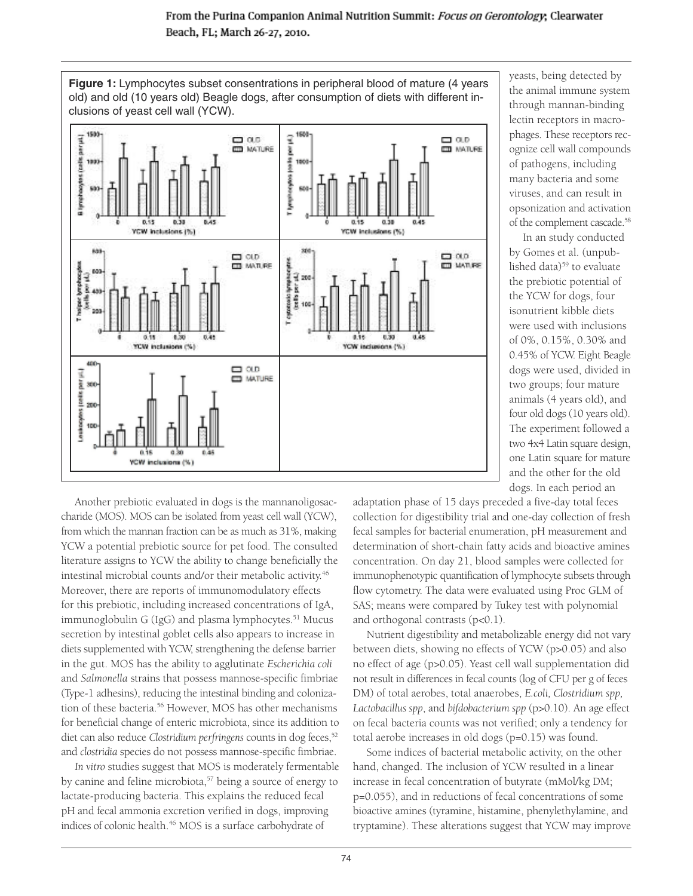

yeasts, being detected by the animal immune system through mannan-binding lectin receptors in macrophages. These receptors recognize cell wall compounds of pathogens, including many bacteria and some viruses, and can result in opsonization and activation of the complement cascade.58

In an study conducted by Gomes et al. (unpublished data)<sup>59</sup> to evaluate the prebiotic potential of the YCW for dogs, four isonutrient kibble diets were used with inclusions of 0%, 0.15%, 0.30% and 0.45% of YCW. Eight Beagle dogs were used, divided in two groups; four mature animals (4 years old), and four old dogs (10 years old). The experiment followed a two 4x4 Latin square design, one Latin square for mature and the other for the old dogs. In each period an

Another prebiotic evaluated in dogs is the mannanoligosaccharide (MOS). MOS can be isolated from yeast cell wall (YCW), from which the mannan fraction can be as much as 31%, making YCW a potential prebiotic source for pet food. The consulted literature assigns to YCW the ability to change beneficially the intestinal microbial counts and/or their metabolic activity.<sup>46</sup> Moreover, there are reports of immunomodulatory effects for this prebiotic, including increased concentrations of IgA, immunoglobulin G (IgG) and plasma lymphocytes.<sup>51</sup> Mucus secretion by intestinal goblet cells also appears to increase in diets supplemented with YCW, strengthening the defense barrier in the gut. MOS has the ability to agglutinate *Escherichia coli* and *Salmonella* strains that possess mannose-specific fimbriae (Type-1 adhesins), reducing the intestinal binding and colonization of these bacteria.<sup>56</sup> However, MOS has other mechanisms for beneficial change of enteric microbiota, since its addition to diet can also reduce *Clostridium perfringens* counts in dog feces,<sup>52</sup> and *clostridia* species do not possess mannose-specific fimbriae.

*In vitro* studies suggest that MOS is moderately fermentable by canine and feline microbiota,<sup>57</sup> being a source of energy to lactate-producing bacteria. This explains the reduced fecal pH and fecal ammonia excretion verified in dogs, improving indices of colonic health.<sup>46</sup> MOS is a surface carbohydrate of

adaptation phase of 15 days preceded a five-day total feces collection for digestibility trial and one-day collection of fresh fecal samples for bacterial enumeration, pH measurement and determination of short-chain fatty acids and bioactive amines concentration. On day 21, blood samples were collected for immunophenotypic quantification of lymphocyte subsets through flow cytometry. The data were evaluated using Proc GLM of SAS; means were compared by Tukey test with polynomial and orthogonal contrasts  $(p<0.1)$ .

Nutrient digestibility and metabolizable energy did not vary between diets, showing no effects of YCW (p>0.05) and also no effect of age (p>0.05). Yeast cell wall supplementation did not result in differences in fecal counts (log of CFU per g of feces DM) of total aerobes, total anaerobes, *E.coli, Clostridium spp, Lactobacillus spp*, and *bifdobacterium spp* (p>0.10). An age effect on fecal bacteria counts was not verified; only a tendency for total aerobe increases in old dogs (p=0.15) was found.

Some indices of bacterial metabolic activity, on the other hand, changed. The inclusion of YCW resulted in a linear increase in fecal concentration of butyrate (mMol/kg DM; p=0.055), and in reductions of fecal concentrations of some bioactive amines (tyramine, histamine, phenylethylamine, and tryptamine). These alterations suggest that YCW may improve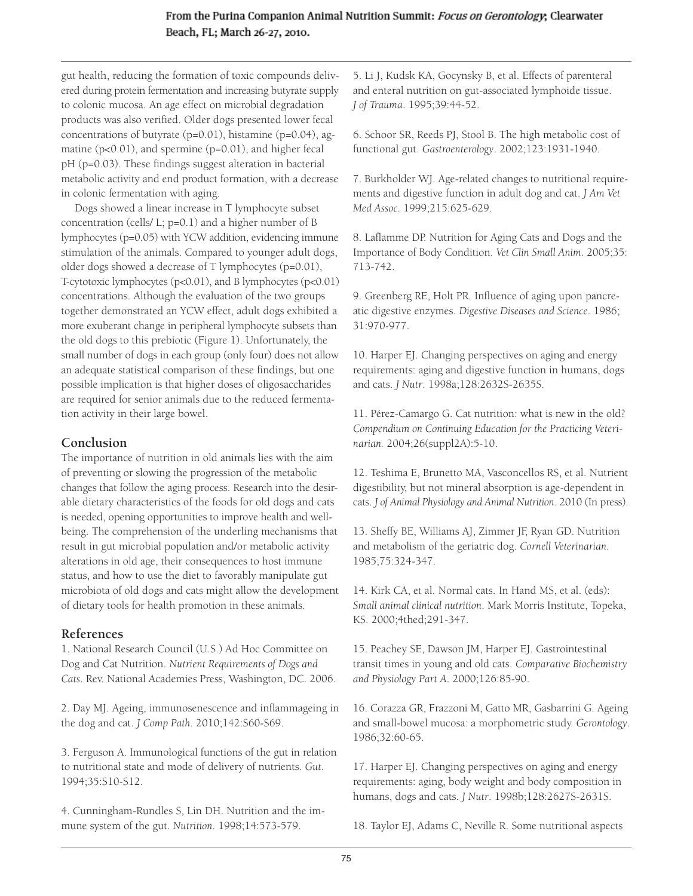gut health, reducing the formation of toxic compounds delivered during protein fermentation and increasing butyrate supply to colonic mucosa. An age effect on microbial degradation products was also verified. Older dogs presented lower fecal concentrations of butyrate (p=0.01), histamine (p=0.04), agmatine (p<0.01), and spermine (p=0.01), and higher fecal pH (p=0.03). These findings suggest alteration in bacterial metabolic activity and end product formation, with a decrease in colonic fermentation with aging.

Dogs showed a linear increase in T lymphocyte subset concentration (cells/ L; p=0.1) and a higher number of B lymphocytes (p=0.05) with YCW addition, evidencing immune stimulation of the animals. Compared to younger adult dogs, older dogs showed a decrease of T lymphocytes (p=0.01), T-cytotoxic lymphocytes (p<0.01), and B lymphocytes (p<0.01) concentrations. Although the evaluation of the two groups together demonstrated an YCW effect, adult dogs exhibited a more exuberant change in peripheral lymphocyte subsets than the old dogs to this prebiotic (Figure 1). Unfortunately, the small number of dogs in each group (only four) does not allow an adequate statistical comparison of these findings, but one possible implication is that higher doses of oligosaccharides are required for senior animals due to the reduced fermentation activity in their large bowel.

## **Conclusion**

The importance of nutrition in old animals lies with the aim of preventing or slowing the progression of the metabolic changes that follow the aging process. Research into the desirable dietary characteristics of the foods for old dogs and cats is needed, opening opportunities to improve health and wellbeing. The comprehension of the underling mechanisms that result in gut microbial population and/or metabolic activity alterations in old age, their consequences to host immune status, and how to use the diet to favorably manipulate gut microbiota of old dogs and cats might allow the development of dietary tools for health promotion in these animals.

## **References**

1. National Research Council (U.S.) Ad Hoc Committee on Dog and Cat Nutrition. *Nutrient Requirements of Dogs and Cats*. Rev. National Academies Press, Washington, DC. 2006.

2. Day MJ. Ageing, immunosenescence and inflammageing in the dog and cat. *J Comp Path*. 2010;142:S60-S69.

3. Ferguson A. Immunological functions of the gut in relation to nutritional state and mode of delivery of nutrients. *Gut*. 1994;35:S10-S12.

4. Cunningham-Rundles S, Lin DH. Nutrition and the immune system of the gut. *Nutrition*. 1998;14:573-579.

5. Li J, Kudsk KA, Gocynsky B, et al. Effects of parenteral and enteral nutrition on gut-associated lymphoide tissue. *J of Trauma*. 1995;39:44-52.

6. Schoor SR, Reeds PJ, Stool B. The high metabolic cost of functional gut. *Gastroenterology*. 2002;123:1931-1940.

7. Burkholder WJ. Age-related changes to nutritional requirements and digestive function in adult dog and cat. *J Am Vet Med Assoc*. 1999;215:625-629.

8. Laflamme DP. Nutrition for Aging Cats and Dogs and the Importance of Body Condition. *Vet Clin Small Anim*. 2005;35: 713-742.

9. Greenberg RE, Holt PR. Influence of aging upon pancreatic digestive enzymes. *Digestive Diseases and Science*. 1986; 31:970-977.

10. Harper EJ. Changing perspectives on aging and energy requirements: aging and digestive function in humans, dogs and cats. *J Nutr*. 1998a;128:2632S-2635S.

11. Pérez-Camargo G. Cat nutrition: what is new in the old? *Compendium on Continuing Education for the Practicing Veterinarian.* 2004;26(suppl2A):5-10.

12. Teshima E, Brunetto MA, Vasconcellos RS, et al. Nutrient digestibility, but not mineral absorption is age-dependent in cats. *J of Animal Physiology and Animal Nutrition*. 2010 (In press).

13. Sheffy BE, Williams AJ, Zimmer JF, Ryan GD. Nutrition and metabolism of the geriatric dog. *Cornell Veterinarian*. 1985;75:324-347.

14. Kirk CA, et al. Normal cats. In Hand MS, et al. (eds): *Small animal clinical nutrition*. Mark Morris Institute, Topeka, KS. 2000;4thed;291-347.

15. Peachey SE, Dawson JM, Harper EJ. Gastrointestinal transit times in young and old cats. *Comparative Biochemistry and Physiology Part A*. 2000;126:85-90.

16. Corazza GR, Frazzoni M, Gatto MR, Gasbarrini G. Ageing and small-bowel mucosa: a morphometric study. *Gerontology*. 1986;32:60-65.

17. Harper EJ. Changing perspectives on aging and energy requirements: aging, body weight and body composition in humans, dogs and cats. *J Nutr*. 1998b;128:2627S-2631S.

18. Taylor EJ, Adams C, Neville R. Some nutritional aspects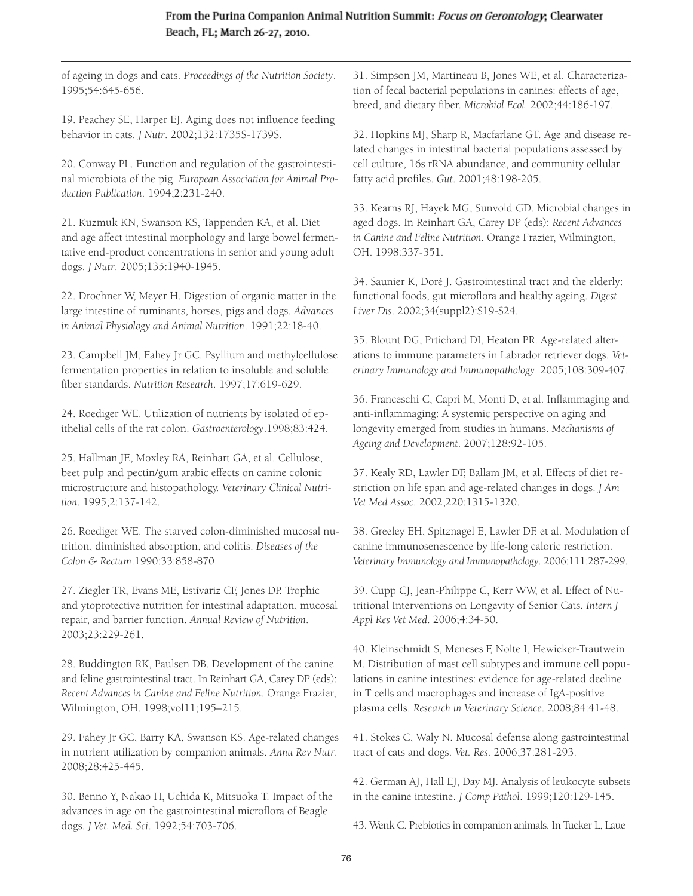of ageing in dogs and cats. *Proceedings of the Nutrition Society*. 1995;54:645-656.

19. Peachey SE, Harper EJ. Aging does not influence feeding behavior in cats. *J Nutr*. 2002;132:1735S-1739S.

20. Conway PL. Function and regulation of the gastrointestinal microbiota of the pig. *European Association for Animal Production Publication*. 1994;2:231-240.

21. Kuzmuk KN, Swanson KS, Tappenden KA, et al. Diet and age affect intestinal morphology and large bowel fermentative end-product concentrations in senior and young adult dogs. *J Nutr*. 2005;135:1940-1945.

22. Drochner W, Meyer H. Digestion of organic matter in the large intestine of ruminants, horses, pigs and dogs. *Advances in Animal Physiology and Animal Nutrition*. 1991;22:18-40.

23. Campbell JM, Fahey Jr GC. Psyllium and methylcellulose fermentation properties in relation to insoluble and soluble fiber standards. *Nutrition Research*. 1997;17:619-629.

24. Roediger WE. Utilization of nutrients by isolated of epithelial cells of the rat colon. *Gastroenterology*.1998;83:424.

25. Hallman JE, Moxley RA, Reinhart GA, et al. Cellulose, beet pulp and pectin/gum arabic effects on canine colonic microstructure and histopathology. *Veterinary Clinical Nutrition*. 1995;2:137-142.

26. Roediger WE. The starved colon-diminished mucosal nutrition, diminished absorption, and colitis. *Diseases of the Colon & Rectum*.1990;33:858-870.

27. Ziegler TR, Evans ME, Estívariz CF, Jones DP. Trophic and ytoprotective nutrition for intestinal adaptation, mucosal repair, and barrier function. *Annual Review of Nutrition*. 2003;23:229-261.

28. Buddington RK, Paulsen DB. Development of the canine and feline gastrointestinal tract. In Reinhart GA, Carey DP (eds): *Recent Advances in Canine and Feline Nutrition*. Orange Frazier, Wilmington, OH. 1998;vol11;195–215.

29. Fahey Jr GC, Barry KA, Swanson KS. Age-related changes in nutrient utilization by companion animals. *Annu Rev Nutr*. 2008;28:425-445.

30. Benno Y, Nakao H, Uchida K, Mitsuoka T. Impact of the advances in age on the gastrointestinal microflora of Beagle dogs. *J Vet. Med. Sci*. 1992;54:703-706.

31. Simpson JM, Martineau B, Jones WE, et al. Characterization of fecal bacterial populations in canines: effects of age, breed, and dietary fiber. *Microbiol Ecol*. 2002;44:186-197.

32. Hopkins MJ, Sharp R, Macfarlane GT. Age and disease related changes in intestinal bacterial populations assessed by cell culture, 16s rRNA abundance, and community cellular fatty acid profiles. *Gut*. 2001;48:198-205.

33. Kearns RJ, Hayek MG, Sunvold GD. Microbial changes in aged dogs. In Reinhart GA, Carey DP (eds): *Recent Advances in Canine and Feline Nutrition*. Orange Frazier, Wilmington, OH. 1998:337-351.

34. Saunier K, Doré J. Gastrointestinal tract and the elderly: functional foods, gut microflora and healthy ageing. *Digest Liver Dis*. 2002;34(suppl2):S19-S24.

35. Blount DG, Prtichard DI, Heaton PR. Age-related alterations to immune parameters in Labrador retriever dogs. *Veterinary Immunology and Immunopathology*. 2005;108:309-407.

36. Franceschi C, Capri M, Monti D, et al. Inflammaging and anti-inflammaging: A systemic perspective on aging and longevity emerged from studies in humans. *Mechanisms of Ageing and Development*. 2007;128:92-105.

37. Kealy RD, Lawler DF, Ballam JM, et al. Effects of diet restriction on life span and age-related changes in dogs. *J Am Vet Med Assoc*. 2002;220:1315-1320.

38. Greeley EH, Spitznagel E, Lawler DF, et al. Modulation of canine immunosenescence by life-long caloric restriction. *Veterinary Immunology and Immunopathology*. 2006;111:287-299.

39. Cupp CJ, Jean-Philippe C, Kerr WW, et al. Effect of Nutritional Interventions on Longevity of Senior Cats. *Intern J Appl Res Vet Med*. 2006;4:34-50.

40. Kleinschmidt S, Meneses F, Nolte I, Hewicker-Trautwein M. Distribution of mast cell subtypes and immune cell populations in canine intestines: evidence for age-related decline in T cells and macrophages and increase of IgA-positive plasma cells. *Research in Veterinary Science*. 2008;84:41-48.

41. Stokes C, Waly N. Mucosal defense along gastrointestinal tract of cats and dogs. *Vet. Res*. 2006;37:281-293.

42. German AJ, Hall EJ, Day MJ. Analysis of leukocyte subsets in the canine intestine. *J Comp Pathol*. 1999;120:129-145.

43. Wenk C. Prebiotics in companion animals. In Tucker L, Laue